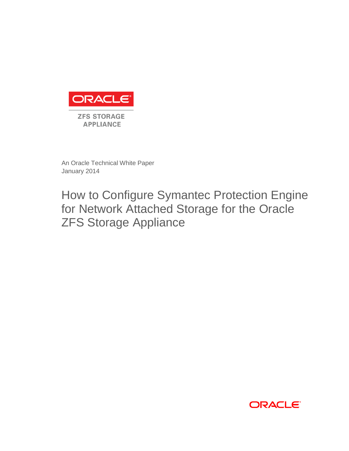

An Oracle Technical White Paper January 2014

How to Configure Symantec Protection Engine for Network Attached Storage for the Oracle ZFS Storage Appliance

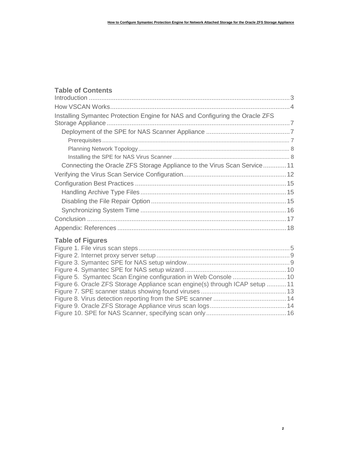### **Table of Contents**

| Installing Symantec Protection Engine for NAS and Configuring the Oracle ZFS |  |
|------------------------------------------------------------------------------|--|
|                                                                              |  |
|                                                                              |  |
|                                                                              |  |
|                                                                              |  |
| Connecting the Oracle ZFS Storage Appliance to the Virus Scan Service11      |  |
|                                                                              |  |
|                                                                              |  |
|                                                                              |  |
|                                                                              |  |
|                                                                              |  |
|                                                                              |  |
|                                                                              |  |

## **Table of Figures**

| Figure 6. Oracle ZFS Storage Appliance scan engine(s) through ICAP setup 11 |  |
|-----------------------------------------------------------------------------|--|
|                                                                             |  |
|                                                                             |  |
|                                                                             |  |
|                                                                             |  |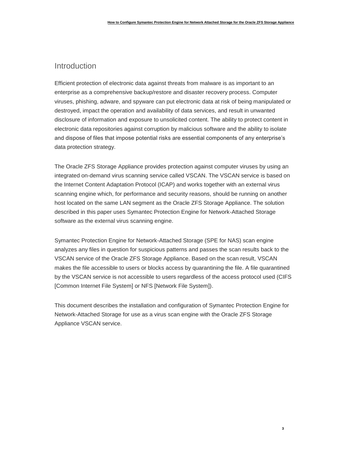### Introduction

Efficient protection of electronic data against threats from malware is as important to an enterprise as a comprehensive backup/restore and disaster recovery process. Computer viruses, phishing, adware, and spyware can put electronic data at risk of being manipulated or destroyed, impact the operation and availability of data services, and result in unwanted disclosure of information and exposure to unsolicited content. The ability to protect content in electronic data repositories against corruption by malicious software and the ability to isolate and dispose of files that impose potential risks are essential components of any enterprise's data protection strategy.

The Oracle ZFS Storage Appliance provides protection against computer viruses by using an integrated on-demand virus scanning service called VSCAN. The VSCAN service is based on the Internet Content Adaptation Protocol (ICAP) and works together with an external virus scanning engine which, for performance and security reasons, should be running on another host located on the same LAN segment as the Oracle ZFS Storage Appliance. The solution described in this paper uses Symantec Protection Engine for Network-Attached Storage software as the external virus scanning engine.

Symantec Protection Engine for Network-Attached Storage (SPE for NAS) scan engine analyzes any files in question for suspicious patterns and passes the scan results back to the VSCAN service of the Oracle ZFS Storage Appliance. Based on the scan result, VSCAN makes the file accessible to users or blocks access by quarantining the file. A file quarantined by the VSCAN service is not accessible to users regardless of the access protocol used (CIFS [Common Internet File System] or NFS [Network File System]).

This document describes the installation and configuration of Symantec Protection Engine for Network-Attached Storage for use as a virus scan engine with the Oracle ZFS Storage Appliance VSCAN service.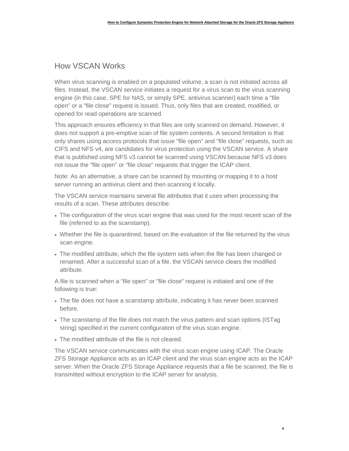## How VSCAN Works

When virus scanning is enabled on a populated volume, a scan is not initiated across all files. Instead, the VSCAN service initiates a request for a virus scan to the virus scanning engine (in this case, SPE for NAS, or simply SPE, antivirus scanner) each time a "file open" or a "file close" request is issued. Thus, only files that are created, modified, or opened for read operations are scanned.

This approach ensures efficiency in that files are only scanned on demand. However, it does not support a pre-emptive scan of file system contents. A second limitation is that only shares using access protocols that issue "file open" and "file close" requests, such as CIFS and NFS v4, are candidates for virus protection using the VSCAN service. A share that is published using NFS v3 cannot be scanned using VSCAN because NFS v3 does not issue the "file open" or "file close" requests that trigger the ICAP client.

Note: As an alternative, a share can be scanned by mounting or mapping it to a host server running an antivirus client and then scanning it locally.

The VSCAN service maintains several file attributes that it uses when processing the results of a scan. These attributes describe:

- The configuration of the virus scan engine that was used for the most recent scan of the file (referred to as the scanstamp).
- Whether the file is quarantined, based on the evaluation of the file returned by the virus scan engine.
- The modified attribute, which the file system sets when the file has been changed or renamed. After a successful scan of a file, the VSCAN service clears the modified attribute.

A file is scanned when a "file open" or "file close" request is initiated and one of the following is true:

- The file does not have a scanstamp attribute, indicating it has never been scanned before.
- The scanstamp of the file does not match the virus pattern and scan options (ISTag string) specified in the current configuration of the virus scan engine.
- The modified attribute of the file is not cleared.

The VSCAN service communicates with the virus scan engine using ICAP. The Oracle ZFS Storage Appliance acts as an ICAP client and the virus scan engine acts as the ICAP server. When the Oracle ZFS Storage Appliance requests that a file be scanned, the file is transmitted without encryption to the ICAP server for analysis.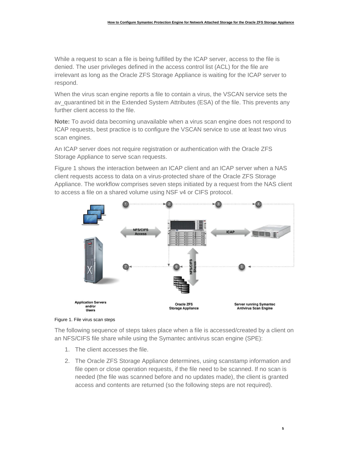While a request to scan a file is being fulfilled by the ICAP server, access to the file is denied. The user privileges defined in the access control list (ACL) for the file are irrelevant as long as the Oracle ZFS Storage Appliance is waiting for the ICAP server to respond.

When the virus scan engine reports a file to contain a virus, the VSCAN service sets the ay quarantined bit in the Extended System Attributes (ESA) of the file. This prevents any further client access to the file.

**Note:** To avoid data becoming unavailable when a virus scan engine does not respond to ICAP requests, best practice is to configure the VSCAN service to use at least two virus scan engines.

An ICAP server does not require registration or authentication with the Oracle ZFS Storage Appliance to serve scan requests.

Figure 1 shows the interaction between an ICAP client and an ICAP server when a NAS client requests access to data on a virus-protected share of the Oracle ZFS Storage Appliance. The workflow comprises seven steps initiated by a request from the NAS client to access a file on a shared volume using NSF v4 or CIFS protocol.



Figure 1. File virus scan steps

The following sequence of steps takes place when a file is accessed/created by a client on an NFS/CIFS file share while using the Symantec antivirus scan engine (SPE):

- 1. The client accesses the file.
- 2. The Oracle ZFS Storage Appliance determines, using scanstamp information and file open or close operation requests, if the file need to be scanned. If no scan is needed (the file was scanned before and no updates made), the client is granted access and contents are returned (so the following steps are not required).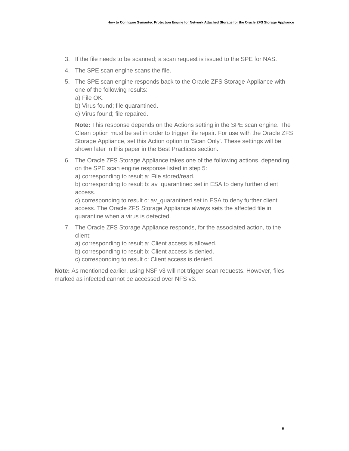- 3. If the file needs to be scanned; a scan request is issued to the SPE for NAS.
- 4. The SPE scan engine scans the file.
- 5. The SPE scan engine responds back to the Oracle ZFS Storage Appliance with one of the following results:
	- a) File OK.
	- b) Virus found; file quarantined.
	- c) Virus found; file repaired.

**Note:** This response depends on the Actions setting in the SPE scan engine. The Clean option must be set in order to trigger file repair. For use with the Oracle ZFS Storage Appliance, set this Action option to 'Scan Only'. These settings will be shown later in this paper in the Best Practices section.

6. The Oracle ZFS Storage Appliance takes one of the following actions, depending on the SPE scan engine response listed in step 5:

a) corresponding to result a: File stored/read.

b) corresponding to result b: av\_quarantined set in ESA to deny further client access.

c) corresponding to result c: av\_quarantined set in ESA to deny further client access. The Oracle ZFS Storage Appliance always sets the affected file in quarantine when a virus is detected.

- 7. The Oracle ZFS Storage Appliance responds, for the associated action, to the client:
	- a) corresponding to result a: Client access is allowed.
	- b) corresponding to result b: Client access is denied.
	- c) corresponding to result c: Client access is denied.

**Note:** As mentioned earlier, using NSF v3 will not trigger scan requests. However, files marked as infected cannot be accessed over NFS v3.

**6**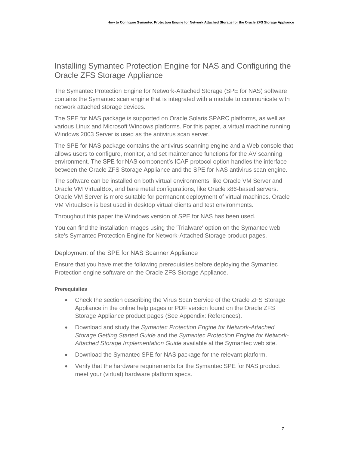# Installing Symantec Protection Engine for NAS and Configuring the Oracle ZFS Storage Appliance

The Symantec Protection Engine for Network-Attached Storage (SPE for NAS) software contains the Symantec scan engine that is integrated with a module to communicate with network attached storage devices.

The SPE for NAS package is supported on Oracle Solaris SPARC platforms, as well as various Linux and Microsoft Windows platforms. For this paper, a virtual machine running Windows 2003 Server is used as the antivirus scan server.

The SPE for NAS package contains the antivirus scanning engine and a Web console that allows users to configure, monitor, and set maintenance functions for the AV scanning environment. The SPE for NAS component's ICAP protocol option handles the interface between the Oracle ZFS Storage Appliance and the SPE for NAS antivirus scan engine.

The software can be installed on both virtual environments, like Oracle VM Server and Oracle VM VirtualBox, and bare metal configurations, like Oracle x86-based servers. Oracle VM Server is more suitable for permanent deployment of virtual machines. Oracle VM VirtualBox is best used in desktop virtual clients and test environments.

Throughout this paper the Windows version of SPE for NAS has been used.

You can find the installation images using the 'Trialware' option on the Symantec web site's Symantec Protection Engine for Network-Attached Storage product pages.

### Deployment of the SPE for NAS Scanner Appliance

Ensure that you have met the following prerequisites before deploying the Symantec Protection engine software on the Oracle ZFS Storage Appliance.

### **Prerequisites**

- Check the section describing the Virus Scan Service of the Oracle ZFS Storage Appliance in the online help pages or PDF version found on the Oracle ZFS Storage Appliance product pages (See Appendix: References).
- Download and study the *Symantec Protection Engine for Network-Attached Storage Getting Started Guide* and the *Symantec Protection Engine for Network-Attached Storage Implementation Guide* available at the Symantec web site.
- Download the Symantec SPE for NAS package for the relevant platform.
- Verify that the hardware requirements for the Symantec SPE for NAS product meet your (virtual) hardware platform specs.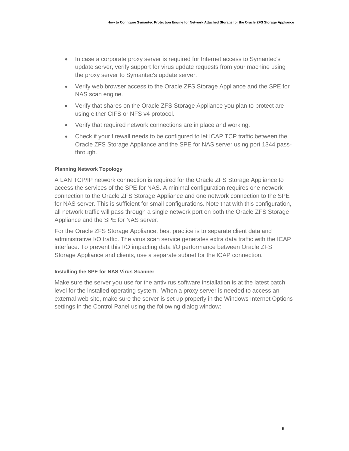- In case a corporate proxy server is required for Internet access to Symantec's update server, verify support for virus update requests from your machine using the proxy server to Symantec's update server.
- Verify web browser access to the Oracle ZFS Storage Appliance and the SPE for NAS scan engine.
- Verify that shares on the Oracle ZFS Storage Appliance you plan to protect are using either CIFS or NFS v4 protocol.
- Verify that required network connections are in place and working.
- Check if your firewall needs to be configured to let ICAP TCP traffic between the Oracle ZFS Storage Appliance and the SPE for NAS server using port 1344 passthrough.

#### **Planning Network Topology**

A LAN TCP/IP network connection is required for the Oracle ZFS Storage Appliance to access the services of the SPE for NAS. A minimal configuration requires one network connection to the Oracle ZFS Storage Appliance and one network connection to the SPE for NAS server. This is sufficient for small configurations. Note that with this configuration, all network traffic will pass through a single network port on both the Oracle ZFS Storage Appliance and the SPE for NAS server.

For the Oracle ZFS Storage Appliance, best practice is to separate client data and administrative I/O traffic. The virus scan service generates extra data traffic with the ICAP interface. To prevent this I/O impacting data I/O performance between Oracle ZFS Storage Appliance and clients, use a separate subnet for the ICAP connection.

#### **Installing the SPE for NAS Virus Scanner**

Make sure the server you use for the antivirus software installation is at the latest patch level for the installed operating system. When a proxy server is needed to access an external web site, make sure the server is set up properly in the Windows Internet Options settings in the Control Panel using the following dialog window:

**8**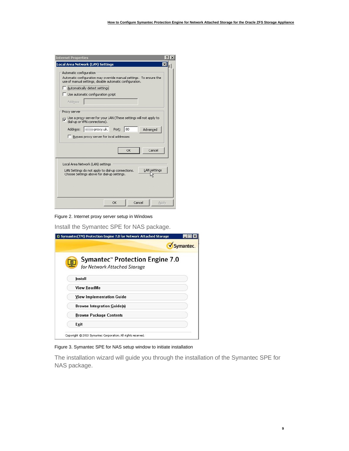| <b>Internet Properties</b>                                                                                                                                                                                                                          | $\times$ |
|-----------------------------------------------------------------------------------------------------------------------------------------------------------------------------------------------------------------------------------------------------|----------|
| ⊠<br>Local Area Network (LAN) Settings                                                                                                                                                                                                              |          |
| Automatic configuration<br>Automatic configuration may override manual settings. To ensure the<br>use of manual settings, disable automatic configuration.<br>Automatically detect settings<br>$\Box$ Use automatic configuration script<br>Address |          |
| Proxy server<br>Use a proxy server for your LAN (These settings will not apply to<br>dial-up or VPN connections).<br>Address:<br>proxy.uk.<br>Port:<br>80<br>Advanced<br><b>E</b> Bypass proxy server for local addresses                           |          |
| Cancel<br>OK                                                                                                                                                                                                                                        |          |
| Local Area Network (LAN) settings<br><b>LAN</b> settings<br>LAN Settings do not apply to dial-up connections.<br>Choose Settings above for dial-up settings.                                                                                        |          |
| OK<br>Cancel<br>Apply                                                                                                                                                                                                                               |          |

Figure 2. Internet proxy server setup in Windows

Install the Symantec SPE for NAS package.

| Symantec(TM) Protection Engine 7.0 for Network Attached Storage |           |
|-----------------------------------------------------------------|-----------|
|                                                                 | Symantec. |
| Symantec" Protection Engine 7.0<br>for Network Attached Storage |           |
| Install                                                         |           |
| <b>View ReadMe</b>                                              |           |
| <b>View Implementation Guide</b>                                |           |
| <b>Browse Integration Guide(s)</b>                              |           |
| <b>Browse Package Contents</b>                                  |           |
| Exit                                                            |           |
| Copyright @ 2013 Symantec Corporation. All rights reserved.     |           |

Figure 3. Symantec SPE for NAS setup window to initiate installation

The installation wizard will guide you through the installation of the Symantec SPE for NAS package.

**9**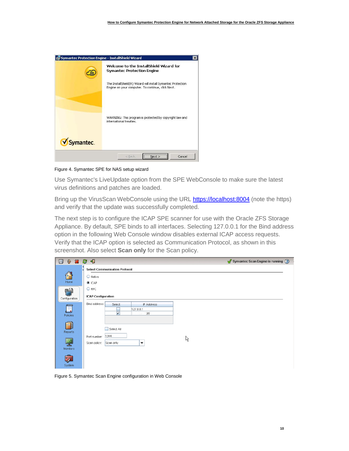| Symantec Protection Engine - InstallShield Wizard | $\times$                                                                                                          |
|---------------------------------------------------|-------------------------------------------------------------------------------------------------------------------|
|                                                   | Welcome to the InstallShield Wizard for<br><b>Symantec Protection Engine</b>                                      |
|                                                   | The InstallShield(R) Wizard will install Symantec Protection<br>Engine on your computer. To continue, click Next. |
|                                                   | WARNING: This program is protected by copyright law and<br>international treaties.                                |
| Symantec.                                         |                                                                                                                   |
|                                                   | <br>Cancel<br>$<$ Back<br>$Next$ >                                                                                |

Figure 4. Symantec SPE for NAS setup wizard

Use Symantec's LiveUpdate option from the SPE WebConsole to make sure the latest virus definitions and patches are loaded.

Bring up the VirusScan WebConsole using the URL [https://localhost:8004](https://localhost:8004/) (note the https) and verify that the update was successfully completed.

The next step is to configure the ICAP SPE scanner for use with the Oracle ZFS Storage Appliance. By default, SPE binds to all interfaces. Selecting 127.0.0.1 for the Bind address option in the following Web Console window disables external ICAP access requests. Verify that the ICAP option is selected as Communication Protocol, as shown in this screenshot. Also select **Scan only** for the Scan policy.

| U<br>$\gg$ $\gg$ | 24                                                                                    | $\sqrt{\ }$ Symantec Scan Engine is running $\left($ ? |
|------------------|---------------------------------------------------------------------------------------|--------------------------------------------------------|
|                  | <b>Select Communication Protocol</b>                                                  |                                                        |
| r.               | Native                                                                                |                                                        |
| Home             | $\odot$ ICAP                                                                          |                                                        |
| 뭐                | $\bigcirc$ RPC                                                                        |                                                        |
| Configuration    | <b>ICAP Configuration</b>                                                             |                                                        |
| Policies         | Bind address:<br>IP Address<br>Select<br>127.0.0.1<br>$\overline{\mathbf{v}}$<br>1.95 |                                                        |
| ह — ।<br>Reports | Select All<br>۰<br>1344                                                               |                                                        |
| ᅩ<br>Monitors    | Port number:<br>ß<br>Scan policy:<br>Scan only<br>$\blacktriangledown$                |                                                        |
| 『昼<br>System     |                                                                                       |                                                        |

Figure 5. Symantec Scan Engine configuration in Web Console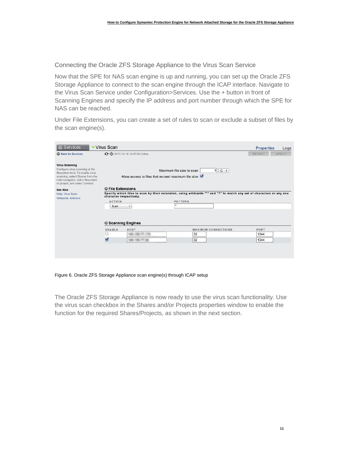Connecting the Oracle ZFS Storage Appliance to the Virus Scan Service

Now that the SPE for NAS scan engine is up and running, you can set up the Oracle ZFS Storage Appliance to connect to the scan engine through the ICAP interface. Navigate to the Virus Scan Service under Configuration>Services. Use the + button in front of Scanning Engines and specify the IP address and port number through which the SPE for NAS can be reached.

Under File Extensions, you can create a set of rules to scan or exclude a subset of files by the scan engine(s).

| <b>□</b> Services                                                                                                                                                                                          | <b>• Virus Scan</b>                               |                                                                |                                                                                                                                              | <b>Properties</b><br>Logs |
|------------------------------------------------------------------------------------------------------------------------------------------------------------------------------------------------------------|---------------------------------------------------|----------------------------------------------------------------|----------------------------------------------------------------------------------------------------------------------------------------------|---------------------------|
| <b>C</b> Back to Services                                                                                                                                                                                  |                                                   | ← U 2011-12-16 14:47:55 Online                                 |                                                                                                                                              | <b>REVERT</b><br>APPLY    |
| <b>Virus Scanning</b><br>Configure virus scanning at the<br>filesystem level. To enable virus<br>scanning, select Shares from the<br>main navigation, edit a filesystem<br>or project, and select General. |                                                   |                                                                | Maximum file size to scan<br>$1 G$ ÷<br>Allow access to files that exceed maximum file size $\blacksquare$                                   |                           |
| See Also<br>Help: Virus Scan<br>Wikipedia: Antivirus                                                                                                                                                       | <b>O</b> File Extensions<br><b>ACTION</b><br>Scan | character respectively.<br>$\div$<br><b>C</b> Scanning Engines | Specify which files to scan by their extension, using wildcards "*" and "?" to match any set of characters or any one<br><b>PATTERN</b><br>ŵ |                           |
|                                                                                                                                                                                                            | ENABLE<br>bili)<br>Ø                              | HOST<br>128,126,77,44                                          | <b>MAXIMUM CONNECTIONS</b><br>32<br>32                                                                                                       | PORT<br>1344<br>1344      |

Figure 6. Oracle ZFS Storage Appliance scan engine(s) through ICAP setup

The Oracle ZFS Storage Appliance is now ready to use the virus scan functionality. Use the virus scan checkbox in the Shares and/or Projects properties window to enable the function for the required Shares/Projects, as shown in the next section.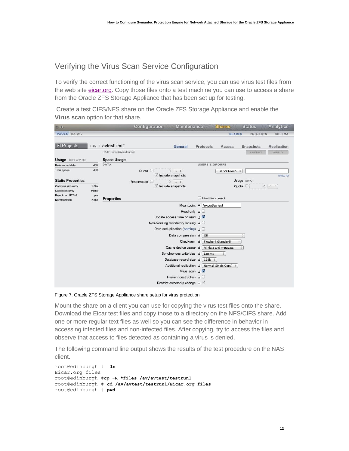# Verifying the Virus Scan Service Configuration

To verify the correct functioning of the virus scan service, you can use virus test files from the web site eicar.org. Copy those files onto a test machine you can use to access a share from the Oracle ZFS Storage Appliance that has been set up for testing.

Create a test CIFS/NFS share on the Oracle ZFS Storage Appliance and enable the **Virus scan** option for that share.

| 0, 0                              |                               |                             | Configuration | <b>Maintenance</b>                                             |                               | <b>Shares</b>               | <b>Status</b>   | <b>Analytics</b> |
|-----------------------------------|-------------------------------|-----------------------------|---------------|----------------------------------------------------------------|-------------------------------|-----------------------------|-----------------|------------------|
| POOLS RAID10                      |                               |                             |               |                                                                |                               | <b>SHARES</b>               | <b>PROJECTS</b> | <b>SCHEMA</b>    |
| $\Box$ Projects                   | $\triangleright$ av<br>$\sim$ | avtestfiles                 |               | <b>General</b>                                                 | Protocols                     | Access                      | Snapshots       | Replication      |
|                                   |                               | RAID10/local/av/avtestfiles |               |                                                                |                               |                             | <b>REVERT</b>   | APPLY            |
| <b>Usage</b> 0.0% of 2.10T        |                               | <b>Space Usage</b>          |               |                                                                |                               |                             |                 |                  |
| Referenced data                   | 40K                           | <b>DATA</b>                 |               |                                                                | <b>USERS &amp; GROUPS</b>     |                             |                 |                  |
| Total space                       | 40K                           |                             | Quota O       | $\mathbf{0}$<br>$G$ $\div$                                     |                               | User or Group $\div$        |                 |                  |
| <b>Static Properties</b>          |                               |                             |               | $\blacksquare$ Include snapshots                               |                               |                             | Usage none      | Show All         |
| Compression ratio                 | 1.00x                         |                             | Reservation O | $G$ $\div$<br>$\mathbf{0}$<br>$\blacksquare$ Include snapshots |                               | Quota O                     |                 | $0$ $G$ $\div$   |
| Case sensitivity                  | Mixed                         |                             |               |                                                                |                               |                             |                 |                  |
| Reject non UTF-8<br>Normalization | yes<br>None                   | <b>Properties</b>           |               |                                                                | U                             | Inherit from project        |                 |                  |
|                                   |                               |                             |               | Mountpoint                                                     | $\triangle$ /export/avtest    |                             |                 |                  |
|                                   |                               |                             |               | Read only                                                      | $\Box$                        |                             |                 |                  |
|                                   |                               |                             |               | Update access time on read                                     | a                             |                             |                 |                  |
|                                   |                               |                             |               | Non-blocking mandatory locking $\Box$                          |                               |                             |                 |                  |
|                                   |                               |                             |               | Data deduplication (warning)                                   | $\Box$                        |                             |                 |                  |
|                                   |                               |                             |               | Data compression                                               | $\mathbf{a}$<br>Off           |                             | $\div$          |                  |
|                                   |                               |                             |               | Checksum                                                       | $\mathbf{a}$                  | Fletcher4 (Standard)<br>÷   |                 |                  |
|                                   |                               |                             |               | Cache device usage                                             | $\overline{a}$                | All data and metadata<br>÷  |                 |                  |
|                                   |                               |                             |               | Synchronous write bias                                         | $\overline{a}$<br>Latency     | $\div$                      |                 |                  |
|                                   |                               |                             |               | Database record size                                           | $\triangleq$<br>$128k$ $\div$ |                             |                 |                  |
|                                   |                               |                             |               | Additional replication                                         | $\mathbf{a}$                  | Normal (Single Copy) $\div$ |                 |                  |
|                                   |                               |                             |               | Virus scan $a \nabla$                                          |                               |                             |                 |                  |
|                                   |                               |                             |               | Prevent destruction                                            | $\overline{a}$<br>Ho.         |                             |                 |                  |
|                                   |                               |                             |               | Restrict ownership change                                      | $\mathbb{R}^N$                |                             |                 |                  |
|                                   |                               |                             |               |                                                                |                               |                             |                 |                  |

Figure 7. Oracle ZFS Storage Appliance share setup for virus protection

Mount the share on a client you can use for copying the virus test files onto the share. Download the Eicar test files and copy those to a directory on the NFS/CIFS share. Add one or more regular text files as well so you can see the difference in behavior in accessing infected files and non-infected files. After copying, try to access the files and observe that access to files detected as containing a virus is denied.

The following command line output shows the results of the test procedure on the NAS client.

```
root@edinburgh # ls
Eicar.org files
root@edinburgh #cp -R *files /av/avtest/testrun1
root@edinburgh # cd /av/avtest/testrun1/Eicar.org files
root@edinburgh # pwd
```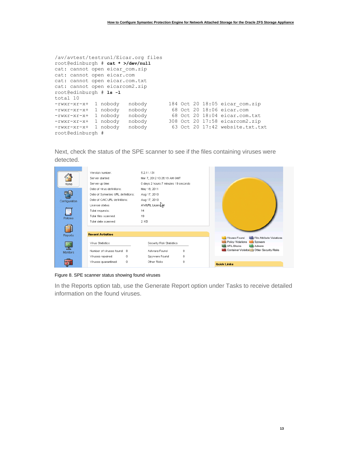| /av/avtest/testrun1/Eicar.org files         |                                 |
|---------------------------------------------|---------------------------------|
| root@edinburgh # cat * >/dev/null           |                                 |
| cat: cannot open eicar com.zip              |                                 |
| cat: cannot open eicar.com                  |                                 |
| cat: cannot open eicar.com.txt              |                                 |
| cat: cannot open eicarcom2.zip              |                                 |
| root@edinburgh # 1s -1                      |                                 |
| total 10                                    |                                 |
| 1 nobody<br>nobody<br>$-rwxr$ - $xr$        | 184 Oct 20 18:05 eicar com.zip  |
| 1 nobody<br>nobody<br>$-rwxr$ - $xr$ - $x+$ | 68 Oct 20 18:06 eicar.com       |
| 1 nobody<br>nobody<br>$-rwxr$ - $xr$ - $x+$ | 68 Oct 20 18:04 eicar.com.txt   |
| 1 nobody<br>nobody<br>$-rwxr-xr-x+$         | 308 Oct 20 17:58 eicarcom2.zip  |
| 1 nobody<br>nobody<br>$-rwxr$ - $xr$ - $x+$ | 63 Oct 20 17:42 website.txt.txt |
| root@edinburgh #                            |                                 |

Next, check the status of the SPE scanner to see if the files containing viruses were detected.

| Home<br>Configuration<br><b>Policies</b> | Version number:<br>Server started:<br>Server up time:<br>Date of virus definitions:<br>Date of Symantec URL definitions:<br>Date of CAIC URL definitions:<br>License status:<br>Total requests:<br>Total files scanned:<br>Total data scanned: | 5.2.11.131<br>Mar 7, 2012 10:26:18 AM GMT<br>0 days 2 hours 7 minutes 19 seconds<br>May 18, 2011<br>Aug 17, 2010<br>Aug 17, 2010<br>AV/URL Licens<br>14<br>19<br>2 KB |                                                                                                                                                         |
|------------------------------------------|------------------------------------------------------------------------------------------------------------------------------------------------------------------------------------------------------------------------------------------------|-----------------------------------------------------------------------------------------------------------------------------------------------------------------------|---------------------------------------------------------------------------------------------------------------------------------------------------------|
| : — I<br>Reports                         | <b>Recent Activities</b>                                                                                                                                                                                                                       |                                                                                                                                                                       |                                                                                                                                                         |
|                                          | Virus Statistics                                                                                                                                                                                                                               | Security Risk Statistics                                                                                                                                              | Viruses Found<br>File Attribute Violations<br>Policy Violations<br>Spyware<br><b>URL Blocks</b><br>Adware<br>Container Violation   Other Security Risks |
| <b>Monitors</b>                          | Number of viruses found: 8                                                                                                                                                                                                                     | Adware Found<br>0                                                                                                                                                     |                                                                                                                                                         |
|                                          | Viruses repaired:<br>0<br>0                                                                                                                                                                                                                    | Spyware Found<br>0<br>0<br>Other Risks                                                                                                                                |                                                                                                                                                         |
|                                          | Viruses quarantined:                                                                                                                                                                                                                           |                                                                                                                                                                       | <b>Quick Links</b>                                                                                                                                      |

Figure 8. SPE scanner status showing found viruses

In the Reports option tab, use the Generate Report option under Tasks to receive detailed information on the found viruses.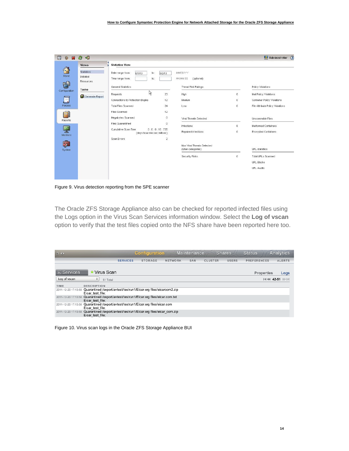| $\frac{1}{2}$<br>圓<br>$\sqrt{2}$ | 印<br>a                                            |                                                                      |           |                                                 |   | Administrator<br>$\odot$         |
|----------------------------------|---------------------------------------------------|----------------------------------------------------------------------|-----------|-------------------------------------------------|---|----------------------------------|
|                                  | <b>Views</b>                                      | <b>Statistics View</b>                                               |           |                                                 |   |                                  |
| 6)<br>Home<br><u>Pi</u>          | <b>Statistics</b><br>Detailed<br><b>Resources</b> | Date range from:<br>8/1/13<br>to:<br>Time range from:<br>to:         | 8/2/13    | MM/DD/YY<br>HH:MM:SS<br>(optional)              |   |                                  |
|                                  | <b>Tasks</b>                                      | General Statistics                                                   |           | Threat Risk Ratings                             |   | Policy Violations                |
| Configuration                    | Generate Report                                   | プ<br>Requests                                                        | 23        | High                                            | 8 | Mail Policy Violations           |
| Ξ                                |                                                   | Connections to Protection Engine                                     | 12        | Medium                                          | 0 | Container Policy Violations      |
| Policies                         |                                                   | <b>Total Files Scanned</b>                                           | 24        | Low                                             | 0 | File Attribute Policy Violations |
| $\vert$ = $\vert$                |                                                   | <b>Files Scanned</b>                                                 | 12        |                                                 |   |                                  |
| Reports                          |                                                   | Megabytes Scanned                                                    | $\circ$   | Viral Threats Detected                          |   | Unscannable Files                |
|                                  |                                                   | <b>Files Quarantined</b>                                             | $\circ$   | Infections                                      | 8 | Malformed Containers             |
| <b>Monitors</b>                  |                                                   | 0:0:0:16:735<br>Cumulative Scan Time<br>(days:hour:min:sec:millisec) |           | Repaired Infections                             | 0 | <b>Encrypted Containers</b>      |
|                                  |                                                   | Scan Errors                                                          | $\bar{2}$ |                                                 |   |                                  |
| $\mathbb{Z}^2$<br>System         |                                                   |                                                                      |           | Non Viral Threats Detected<br>(Uber categories) |   | URL statistics                   |
|                                  |                                                   |                                                                      |           | Security Risks                                  | 0 | <b>Total URLs Scanned</b>        |
|                                  |                                                   |                                                                      |           |                                                 |   | <b>URL Blocks</b>                |
|                                  |                                                   |                                                                      |           |                                                 |   | <b>URL Audits</b>                |
|                                  |                                                   |                                                                      |           |                                                 |   |                                  |

Figure 9. Virus detection reporting from the SPE scanner

The Oracle ZFS Storage Appliance also can be checked for reported infected files using the Logs option in the Virus Scan Services information window. Select the **Log of vscan** option to verify that the test files copied onto the NFS share have been reported here too.

| U                           |                                                                                                             | <b>Configuration</b>              |         | <b>Maintenance</b> | <b>Shares</b>  |              | <b>Status</b>      | <b>Analytics</b> |
|-----------------------------|-------------------------------------------------------------------------------------------------------------|-----------------------------------|---------|--------------------|----------------|--------------|--------------------|------------------|
|                             |                                                                                                             | <b>SERVICES</b><br><b>STORAGE</b> | NETWORK | SAN                | <b>CLUSTER</b> | <b>USERS</b> | <b>PREFERENCES</b> | <b>ALERTS</b>    |
| <b>□</b> Services           | • Virus Scan                                                                                                |                                   |         |                    |                |              | <b>Properties</b>  | Logs             |
| Log of vscan                | 51 Total<br>$\overline{\phantom{a}}$                                                                        |                                   |         |                    |                |              | $14 - 44$          |                  |
| TIME<br>2011-12-20 17:13:58 | <b>DESCRIPTION</b><br>Quarantined /export/avtest/testrun1/Eicar.org files/eicarcom2.zip<br>Eicar test file: |                                   |         |                    |                |              |                    |                  |
| 2011-12-20 17:13:58         | Quarantined /export/avtest/testrun1/Eicar.org files/eicar.com.txt<br>Eicar test file:                       |                                   |         |                    |                |              |                    |                  |
| 2011-12-20 17:13:58         | Quarantined /export/avtest/testrun1/Eicar.org files/eicar.com<br>Eicar test file:                           |                                   |         |                    |                |              |                    |                  |
| 2011-12-20 17:13:58         | Quarantined /export/avtest/testrun1/Eicar.org files/eicar_com.zip<br>Eicar test file:                       |                                   |         |                    |                |              |                    |                  |

Figure 10. Virus scan logs in the Oracle ZFS Storage Appliance BUI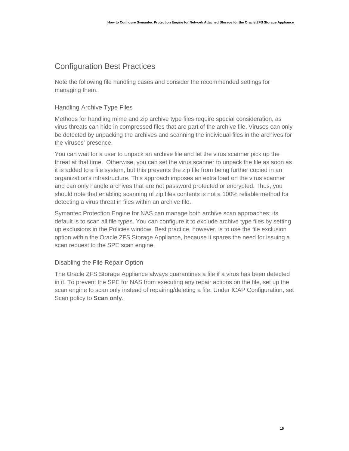# Configuration Best Practices

Note the following file handling cases and consider the recommended settings for managing them.

### Handling Archive Type Files

Methods for handling mime and zip archive type files require special consideration, as virus threats can hide in compressed files that are part of the archive file. Viruses can only be detected by unpacking the archives and scanning the individual files in the archives for the viruses' presence.

You can wait for a user to unpack an archive file and let the virus scanner pick up the threat at that time. Otherwise, you can set the virus scanner to unpack the file as soon as it is added to a file system, but this prevents the zip file from being further copied in an organization's infrastructure. This approach imposes an extra load on the virus scanner and can only handle archives that are not password protected or encrypted. Thus, you should note that enabling scanning of zip files contents is not a 100% reliable method for detecting a virus threat in files within an archive file.

Symantec Protection Engine for NAS can manage both archive scan approaches; its default is to scan all file types. You can configure it to exclude archive type files by setting up exclusions in the Policies window. Best practice, however, is to use the file exclusion option within the Oracle ZFS Storage Appliance, because it spares the need for issuing a scan request to the SPE scan engine.

### Disabling the File Repair Option

The Oracle ZFS Storage Appliance always quarantines a file if a virus has been detected in it. To prevent the SPE for NAS from executing any repair actions on the file, set up the scan engine to scan only instead of repairing/deleting a file. Under ICAP Configuration, set Scan policy to **Scan only**.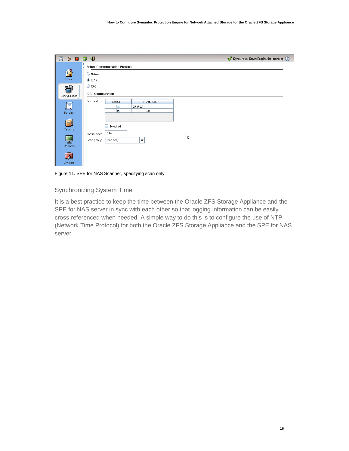

Figure 11. SPE for NAS Scanner, specifying scan only

#### Synchronizing System Time

It is a best practice to keep the time between the Oracle ZFS Storage Appliance and the SPE for NAS server in sync with each other so that logging information can be easily cross-referenced when needed. A simple way to do this is to configure the use of NTP (Network Time Protocol) for both the Oracle ZFS Storage Appliance and the SPE for NAS server.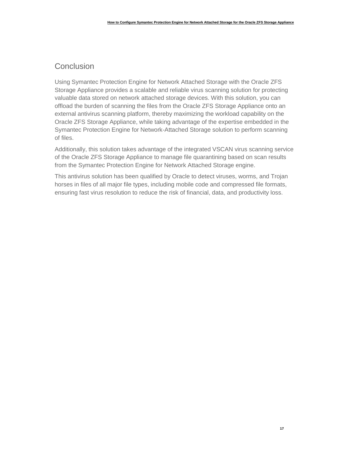# **Conclusion**

Using Symantec Protection Engine for Network Attached Storage with the Oracle ZFS Storage Appliance provides a scalable and reliable virus scanning solution for protecting valuable data stored on network attached storage devices. With this solution, you can offload the burden of scanning the files from the Oracle ZFS Storage Appliance onto an external antivirus scanning platform, thereby maximizing the workload capability on the Oracle ZFS Storage Appliance, while taking advantage of the expertise embedded in the Symantec Protection Engine for Network-Attached Storage solution to perform scanning of files.

Additionally, this solution takes advantage of the integrated VSCAN virus scanning service of the Oracle ZFS Storage Appliance to manage file quarantining based on scan results from the Symantec Protection Engine for Network Attached Storage engine.

This antivirus solution has been qualified by Oracle to detect viruses, worms, and Trojan horses in files of all major file types, including mobile code and compressed file formats, ensuring fast virus resolution to reduce the risk of financial, data, and productivity loss.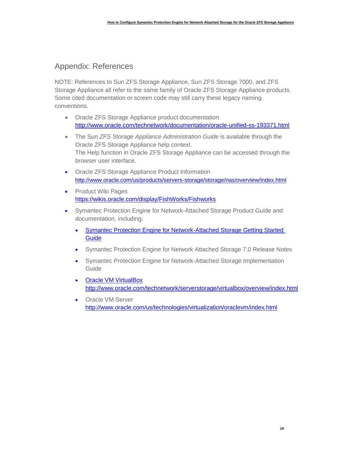### Appendix: References

NOTE: References to Sun ZFS Storage Appliance, Sun ZFS Storage 7000, and ZFS Storage Appliance all refer to the same family of Oracle ZFS Storage Appliance products. Some cited documentation or screen code may still carry these legacy naming conventions.

- Oracle ZFS Storage Appliance product documentation <http://www.oracle.com/technetwork/documentation/oracle-unified-ss-193371.html>
- The Sun *ZFS Storage Appliance Administration Guide* is available through the Oracle ZFS Storage Appliance help context. The Help function in Oracle ZFS Storage Appliance can be accessed through the browser user interface.
- Oracle ZFS Storage Appliance [Product Information](http://www.oracle.com/us/products/servers-storage/storage/nas/overview/index.html) http://www.oracle.com/us/products/servers-storage/storage/nas/overview/index.html
- Product Wiki Pages <https://wikis.oracle.com/display/FishWorks/Fishworks>
- Symantec Protection Engine for Network-Attached Storage Product Guide and documentation, including:
	- [Symantec Protection Engine for Network-Attached Storage Getting Started](http://www.symantec.com/docs/DOC6023)  **[Guide](http://www.symantec.com/docs/DOC6023)**
	- [Symantec Protection Engine for Network Attached Storage 7.0 Release Notes](http://www.symantec.com/docs/DOC6037)
	- [Symantec Protection Engine for Network-Attached](http://www.symantec.com/docs/DOC6022) Storage Implementation [Guide](http://www.symantec.com/docs/DOC6022)
	- [Oracle VM VirtualBox](http://www.oracle.com/technetwork/server-storage/virtualbox/overview/index.html) [http://www.oracle.com/technetwork/serverstorage/virtualbox/overview/index.html](http://www.oracle.com/technetwork/server-storage/virtualbox/overview/index.html)
	- Oracle VM Server <http://www.oracle.com/us/technologies/virtualization/oraclevm/index.html>